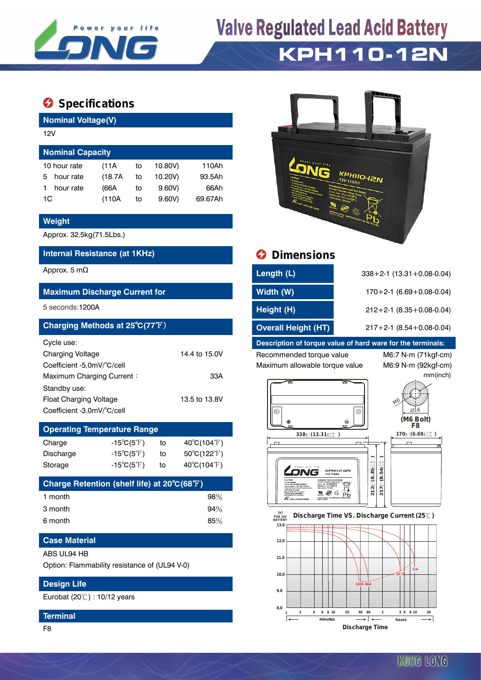

# **Valve Regulated Lead Acid Battery KPH110-12N**

### **Specifications**

**Nominal Voltage(V)**

| 12V                     |         |    |         |         |  |  |
|-------------------------|---------|----|---------|---------|--|--|
| <b>Nominal Capacity</b> |         |    |         |         |  |  |
| 10 hour rate            | (11A)   | to | 10.80V) | 110Ah   |  |  |
| hour rate<br>5          | (18.7A) | to | 10.20V) | 93.5Ah  |  |  |
| hour rate               | (66A    | to | 9.60V   | 66Ah    |  |  |
| 1C                      | (110A   | to | 9.60V   | 69.67Ah |  |  |

#### **Weight**

Approx. 32.5kg(71.5Lbs.)

#### **Internal Resistance (at 1KHz) Dimensions**

#### **Maximum Discharge Current for**

#### **Charging Methods at 25℃(77°F)**

| Cycle use:                 |               |
|----------------------------|---------------|
| <b>Charging Voltage</b>    | 14.4 to 15.0V |
| Coefficient -5.0mV/°C/cell |               |
| Maximum Charging Current:  | 33A           |
| Standby use:               |               |
| Float Charging Voltage     | 13.5 to 13.8V |
| Coefficient -3.0mV/°C/cell |               |

## **Operating Temperature Range**

| Charge    | -15 $^{\circ}$ C(5 $^{\circ}$ F) | to | $40^{\circ}$ C(104 $^{\circ}$ F) |
|-----------|----------------------------------|----|----------------------------------|
| Discharge | $-15^{\circ}C(5^{\circ}F)$       | to | $50^{\circ}$ C(122 $^{\circ}$ F) |
| Storage   | $-15^{\circ}C(5^{\circ}F)$       | to | $40^{\circ}$ C(104 $^{\circ}$ F) |

| Charge Retention (shelf life) at 20°C(68°F) |     |
|---------------------------------------------|-----|
| 1 month                                     | 98% |
| 3 month                                     | 94% |
| 6 month                                     | 85% |

#### **Case Material**

#### ABS UL94 HB

Option: Flammability resistance of (UL94 V-0)

#### **Design Life**

Eurobat (20℃) : 10/12 years

#### **Terminal**

F8



| Approx. 5 m $\Omega$                 | Length (L)                 | $338 + 2 - 1$ (13.31 + 0.08-0.04) |
|--------------------------------------|----------------------------|-----------------------------------|
| <b>Maximum Discharge Current for</b> | Width (W)                  | $170+2-1$ (6.69 + 0.08-0.04)      |
| 5 seconds:1200A                      | Height (H)                 | $212+2-1$ (8.35 + 0.08-0.04)      |
| Charging Methods at 25°C(77°F)       | <b>Overall Height (HT)</b> | $217+2-1$ (8.54 + 0.08-0.04)      |

#### **Description of torque value of hard ware for the terminals:**

Recommended torque value M6:7 N-m (71kgf-cm) Maximum allowable torque value M6:9 N-m (92kgf-cm)

mm(inch)